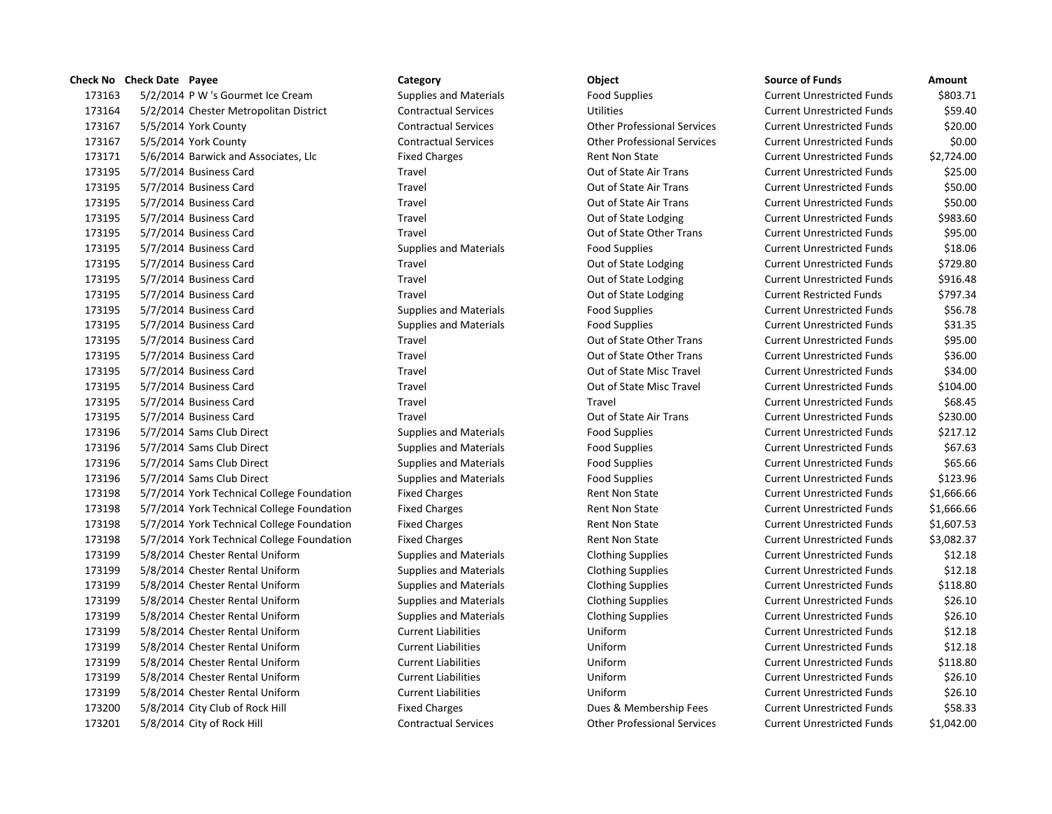## **Check No Check Date Payee Category Category Category Object**

173163 5/2/2014 P W 's Gourmet Ice Cream Supplies and Materials Food Supplies 173164 5/2/2014 Chester Metropolitan District Contractual Services Utilities Utilities 173167 5/5/2014 York County Contractual Services Contractual Services Current Other Professional Services 173167 5/5/2014 York County Contractual Services Other Professional Services 173171 5/6/2014 Barwick and Associates, Llc Fixed Charges Funds \$2,73171 5/6/2014 Barwick and Associates, Llc 173195 5/7/2014 Business Card Travel Travel Cut of State Air Trans 173195 5/7/2014 Business Card Travel Travel Travel Cut of State Air Trans 173195 5/7/2014 Business Card Travel Travel Travel Cut of State Air Trans 173195 5/7/2014 Business Card Travel Travel Cut of State Lodging Current Unrestricted Funds \$983.600 Travel Current Unrestricted Funds \$983.600 Travel Current Unrestricted Funds \$983.600 Travel Current Unrestricted Funds \$ 173195 5/7/2014 Business Card Travel Travel Current Current Current Current Current Current Unrestricted Trans 173195 5/7/2014 Business Card Supplies Supplies and Materials Food Supplies Current Unrestricted Funds & 18.06 173195 5/7/2014 Business Card Travel Travel Cut of State Lodging Current Unrestricted Funds \$729.80 173195 5/7/2014 Business Card Travel Travel Travel Current Unrestricted Funds \$916.48 173195 5/7/2014 Business Card Travel Out of State Lodging Current Restricted Funds \$797.34 173195 5/7/2014 Business Card Supplies and Materials Food Supplies Current Unrestricted Funds & Funds & Funds 173195 5/7/2014 Business Card Supplies Current Current Cupplies and Materials Food Supplies 173195 5/7/2014 Business Card Travel Travel Current Current Current Current Current Current Unrestricted Funds 173195 5/7/2014 Business Card Travel Travel Current Current Current Current Current Current Unrestricted Trans 173195 5/7/2014 Business Card Travel Travel Current Current Out of State Misc Travel 173195 5/7/2014 Business Card Travel Travel Current Current Out of State Misc Travel 173195 5/7/2014 Business Card Travel Travel Current Unrestricted Funds \$68.45 173195 5/7/2014 Business Card Travel Travel Travel Cut of State Air Trans 173196 5/7/2014 Sams Club Direct Supplies and Materials Food Supplies Current Unrestricted Funds & 217.12014 173196 5/7/2014 Sams Club Direct Supplies and Materials Food Supplies Current Engines Supplies and Materials 173196 5/7/2014 Sams Club Direct Supplies and Materials Food Supplies Current Engines Supplies Funds & Funds & 173196 5/7/2014 Sams Club Direct Supplies and Materials Food Supplies Current Unrestricted Funds & 123.966 Supplies 173198 5/7/2014 York Technical College Foundation Fixed Charges Funds 81,666.666.666.666.666.666.666. 173198 5/7/2014 York Technical College Foundation Fixed Charges Funds Alent Non State 173198 5/7/2014 York Technical College Foundation Fixed Charges Rent Non State 173198 5/7/2014 York Technical College Foundation Fixed Charges Funds 8,082.37 Rent Non State 173199 5/8/2014 Chester Rental Uniform Supplies and Materials Clothing Supplies Clothing Supplies 173199 5/8/2014 Chester Rental Uniform Supplies and Materials Clothing Supplies Clothing Supplies 173199 5/8/2014 Chester Rental Uniform Supplies and Materials Clothing Supplies Clothing Supplies 173199 5/8/2014 Chester Rental Uniform Supplies and Materials Clothing Supplies Clothing Supplies 173199 5/8/2014 Chester Rental Uniform Supplies and Materials Clothing Supplies Clothing Supplies 173199 5/8/2014 Chester Rental Uniform Current Liabilities Current Liabilities Uniform 173199 5/8/2014 Chester Rental Uniform Current Liabilities Uniform Uniform 173199 5/8/2014 Chester Rental Uniform Current Liabilities Uniform Uniform 173199 5/8/2014 Chester Rental Uniform Current Liabilities Uniform Uniform 173199 5/8/2014 Chester Rental Uniform Current Liabilities Current Liabilities Uniform 173200 5/8/2014 City Club of Rock Hill Fixed Charges Fixed Charges Dues & Membership Fees 173201 5/8/2014 City of Rock Hill Contractual Services Other Professional Services Current Unrestricted I

| <b>Source of Funds</b>            | Amount            |
|-----------------------------------|-------------------|
| <b>Current Unrestricted Funds</b> | \$803.71          |
| <b>Current Unrestricted Funds</b> | \$59.40           |
| <b>Current Unrestricted Funds</b> | \$20.00           |
| <b>Current Unrestricted Funds</b> | \$0.00            |
| <b>Current Unrestricted Funds</b> | \$2,724.00        |
| <b>Current Unrestricted Funds</b> | \$25.00           |
| <b>Current Unrestricted Funds</b> | \$50.00           |
| <b>Current Unrestricted Funds</b> | \$50.00           |
| <b>Current Unrestricted Funds</b> | \$983.60          |
| <b>Current Unrestricted Funds</b> | \$95.00           |
| <b>Current Unrestricted Funds</b> | \$18.06           |
| <b>Current Unrestricted Funds</b> | \$729.80          |
| <b>Current Unrestricted Funds</b> | \$916.48          |
| <b>Current Restricted Funds</b>   | \$797.34          |
| <b>Current Unrestricted Funds</b> | \$56.78           |
| <b>Current Unrestricted Funds</b> | \$31.35           |
| <b>Current Unrestricted Funds</b> | \$95.00           |
| <b>Current Unrestricted Funds</b> | \$36.00           |
| <b>Current Unrestricted Funds</b> | \$34.00           |
| <b>Current Unrestricted Funds</b> | \$104.00          |
| <b>Current Unrestricted Funds</b> | \$68.45           |
| <b>Current Unrestricted Funds</b> | \$230.00          |
| <b>Current Unrestricted Funds</b> | \$217.12          |
| <b>Current Unrestricted Funds</b> | \$67.63           |
| <b>Current Unrestricted Funds</b> | \$65.66           |
| <b>Current Unrestricted Funds</b> | \$123.96          |
| <b>Current Unrestricted Funds</b> | \$1,666.66        |
| <b>Current Unrestricted Funds</b> | \$1,666.66        |
| <b>Current Unrestricted Funds</b> | \$1,607.53        |
| <b>Current Unrestricted Funds</b> | \$3,082.37        |
| <b>Current Unrestricted Funds</b> | \$12.18           |
| <b>Current Unrestricted Funds</b> | \$12.18           |
| <b>Current Unrestricted Funds</b> | \$118.80          |
| <b>Current Unrestricted Funds</b> | \$26.10           |
| <b>Current Unrestricted Funds</b> | \$26.10           |
| <b>Current Unrestricted Funds</b> | \$12.18           |
| <b>Current Unrestricted Funds</b> | \$12.18           |
| <b>Current Unrestricted Funds</b> | \$118.80          |
| <b>Current Unrestricted Funds</b> | \$26.10           |
| <b>Current Unrestricted Funds</b> | \$26.10           |
| <b>Current Unrestricted Funds</b> | \$58.33           |
| Current Unrestricted Funds        | <b>\$1 042 00</b> |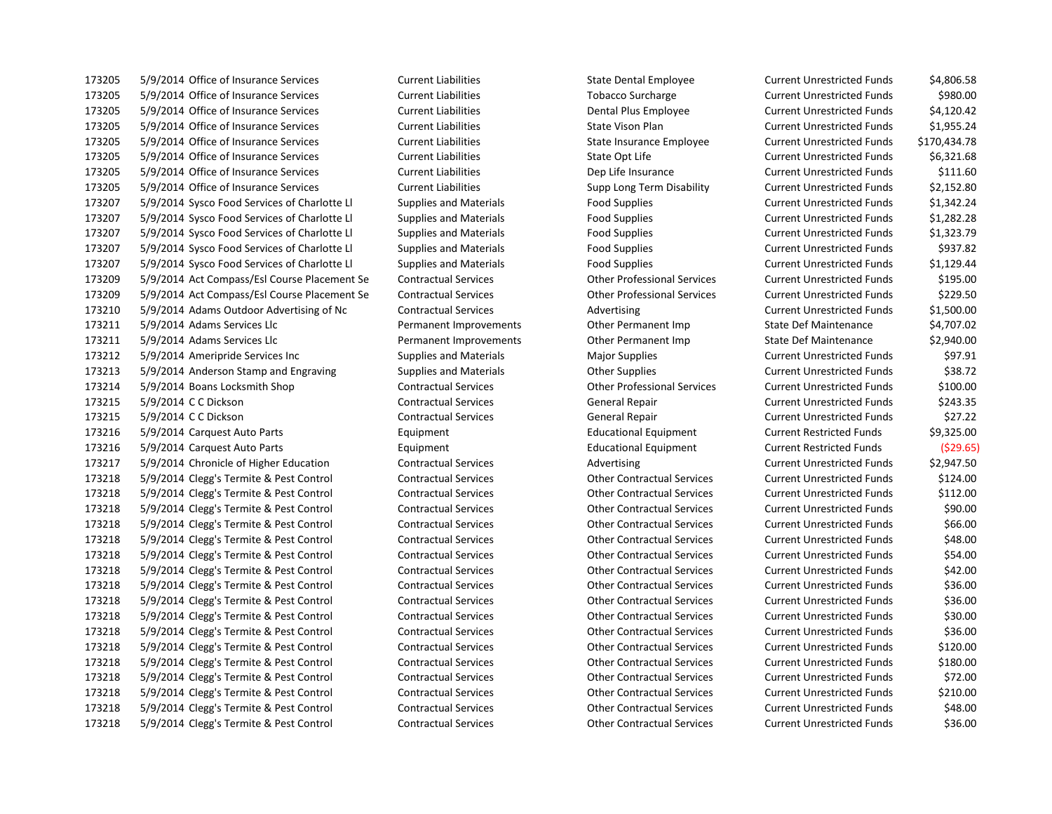5/9/2014 Office of Insurance Services Current Liabilities State Dental Employee Current Unrestricted Funds \$4,806.58 5/9/2014 Office of Insurance Services Current Liabilities Tobacco Surcharge Current Unrestricted Funds \$980.00 5/9/2014 Office of Insurance Services Current Liabilities Dental Plus Employee Current Unrestricted Funds \$4,120.42 5/9/2014 Office of Insurance Services Current Liabilities State Vison Plan Current Unrestricted Funds \$1,955.24 5/9/2014 Office of Insurance Services Current Liabilities State Insurance Employee Current Unrestricted Funds \$170,434.78 5/9/2014 Office of Insurance Services Current Liabilities State Opt Life Current Unrestricted Funds \$6,321.68 5/9/2014 Office of Insurance Services Current Liabilities Dep Life Insurance Current Unrestricted Funds \$111.60 5/9/2014 Office of Insurance Services Current Liabilities Supp Long Term Disability Current Unrestricted Funds \$2,152.80 5/9/2014 Sysco Food Services of Charlotte Ll Supplies and Materials Food Supplies Current Unrestricted Funds \$1,342.24 5/9/2014 Sysco Food Services of Charlotte Ll Supplies and Materials Food Supplies Current Unrestricted Funds \$1,282.28 5/9/2014 Sysco Food Services of Charlotte Ll Supplies and Materials Food Supplies Current Unrestricted Funds \$1,323.79 5/9/2014 Sysco Food Services of Charlotte Ll Supplies and Materials Food Supplies Current Unrestricted Funds \$937.82 5/9/2014 Sysco Food Services of Charlotte Ll Supplies and Materials Food Supplies Current Unrestricted Funds \$1,129.44 5/9/2014 Act Compass/Esl Course Placement Se Contractual Services Other Professional Services Current Unrestricted Funds \$195.00 5/9/2014 Act Compass/Esl Course Placement Se Contractual Services Other Professional Services Current Unrestricted Funds \$229.50 5/9/2014 Adams Outdoor Advertising of Nc Contractual Services Advertising Current Unrestricted Funds \$1,500.00 5/9/2014 Adams Services Llc Permanent Improvements Other Permanent Imp State Def Maintenance \$4,707.02 5/9/2014 Adams Services Llc Permanent Improvements Other Permanent Imp State Def Maintenance \$2,940.00 5/9/2014 Ameripride Services Inc Supplies and Materials Major Supplies Current Unrestricted Funds \$97.91 173213 5/9/2014 Anderson Stamp and Engraving Supplies and Materials Current Unrestricted Funds 5/88.72 5/9/2014 Boans Locksmith Shop Contractual Services Other Professional Services Current Unrestricted Funds \$100.00 5/9/2014 C C Dickson Contractual Services General Repair Current Unrestricted Funds \$243.35 5/9/2014 C C Dickson Contractual Services General Repair Current Unrestricted Funds \$27.22 5/9/2014 Carquest Auto Parts Equipment Educational Equipment Current Restricted Funds \$9,325.00 5/9/2014 Carquest Auto Parts Equipment Educational Equipment Current Restricted Funds (\$29.65) 5/9/2014 Chronicle of Higher Education Contractual Services Advertising Current Unrestricted Funds \$2,947.50 5/9/2014 Clegg's Termite & Pest Control Contractual Services Other Contractual Services Current Unrestricted Funds \$124.00 5/9/2014 Clegg's Termite & Pest Control Contractual Services Other Contractual Services Current Unrestricted Funds \$112.00 5/9/2014 Clegg's Termite & Pest Control Contractual Services Other Contractual Services Current Unrestricted Funds \$90.00 5/9/2014 Clegg's Termite & Pest Control Contractual Services Other Contractual Services Current Unrestricted Funds \$66.00 5/9/2014 Clegg's Termite & Pest Control Contractual Services Other Contractual Services Current Unrestricted Funds \$48.00 5/9/2014 Clegg's Termite & Pest Control Contractual Services Other Contractual Services Current Unrestricted Funds \$54.00 5/9/2014 Clegg's Termite & Pest Control Contractual Services Other Contractual Services Current Unrestricted Funds \$42.00 5/9/2014 Clegg's Termite & Pest Control Contractual Services Other Contractual Services Current Unrestricted Funds \$36.00 5/9/2014 Clegg's Termite & Pest Control Contractual Services Other Contractual Services Current Unrestricted Funds \$36.00 5/9/2014 Clegg's Termite & Pest Control Contractual Services Other Contractual Services Current Unrestricted Funds \$30.00 5/9/2014 Clegg's Termite & Pest Control Contractual Services Other Contractual Services Current Unrestricted Funds \$36.00 5/9/2014 Clegg's Termite & Pest Control Contractual Services Other Contractual Services Current Unrestricted Funds \$120.00 5/9/2014 Clegg's Termite & Pest Control Contractual Services Other Contractual Services Current Unrestricted Funds \$180.00 5/9/2014 Clegg's Termite & Pest Control Contractual Services Other Contractual Services Current Unrestricted Funds \$72.00 5/9/2014 Clegg's Termite & Pest Control Contractual Services Other Contractual Services Current Unrestricted Funds \$210.00 5/9/2014 Clegg's Termite & Pest Control Contractual Services Other Contractual Services Current Unrestricted Funds \$48.00 5/9/2014 Clegg's Termite & Pest Control Contractual Services Other Contractual Services Current Unrestricted Funds \$36.00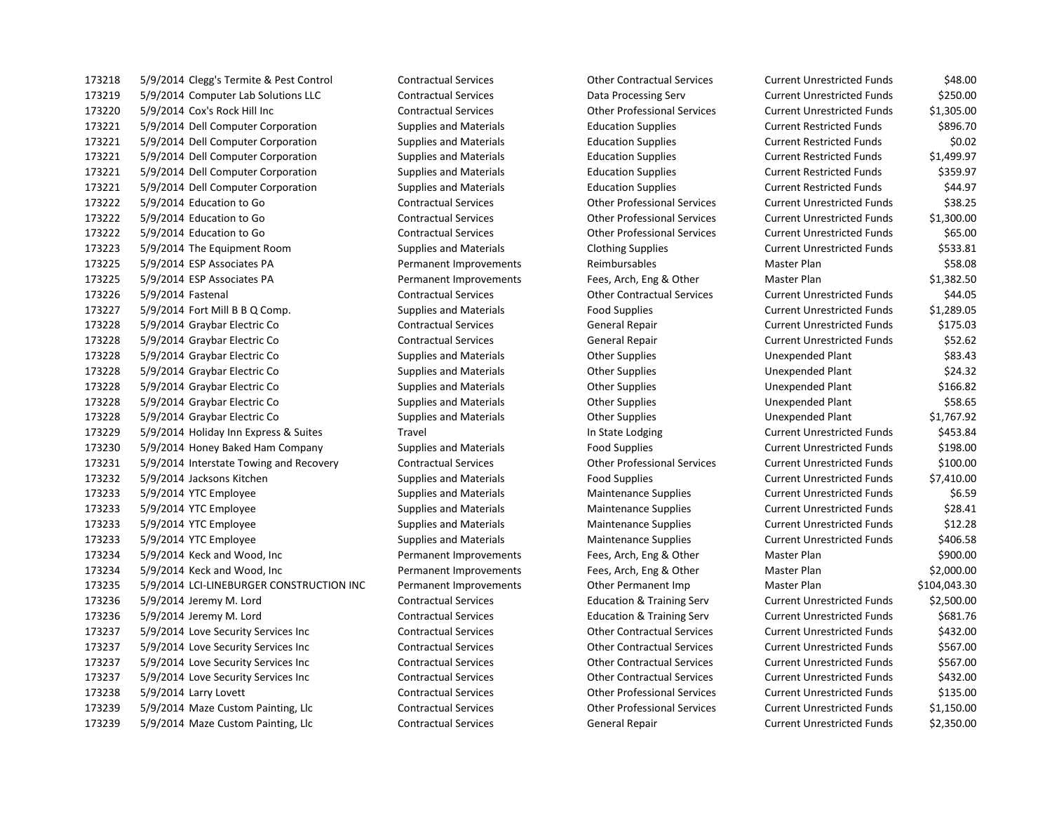5/9/2014 Clegg's Termite & Pest Control Contractual Services Other Contractual Services Current Unrestricted Funds \$48.00 5/9/2014 Computer Lab Solutions LLC Contractual Services Data Processing Serv Current Unrestricted Funds \$250.00 5/9/2014 Cox's Rock Hill Inc Contractual Services Other Professional Services Current Unrestricted Funds \$1,305.00 5/9/2014 Dell Computer Corporation Supplies and Materials Education Supplies Current Restricted Funds \$896.70 5/9/2014 Dell Computer Corporation Supplies and Materials Education Supplies Current Restricted Funds \$0.02 5/9/2014 Dell Computer Corporation Supplies and Materials Education Supplies Current Restricted Funds \$1,499.97 5/9/2014 Dell Computer Corporation Supplies and Materials Education Supplies Current Restricted Funds \$359.97 5/9/2014 Dell Computer Corporation Supplies and Materials Education Supplies Current Restricted Funds \$44.97 5/9/2014 Education to Go Contractual Services Other Professional Services Current Unrestricted Funds \$38.25 5/9/2014 Education to Go Contractual Services Other Professional Services Current Unrestricted Funds \$1,300.00 5/9/2014 Education to Go Contractual Services Other Professional Services Current Unrestricted Funds \$65.00 5/9/2014 The Equipment Room Supplies and Materials Clothing Supplies Current Unrestricted Funds \$533.81 173225 5/9/2014 ESP Associates PA **Permanent Improvements** Reimbursables Master Plan Master Plan \$58.08 5/9/2014 ESP Associates PA Permanent Improvements Fees, Arch, Eng & Other Master Plan \$1,382.50 5/9/2014 Fastenal Contractual Services Other Contractual Services Current Unrestricted Funds \$44.05 5/9/2014 Fort Mill B B Q Comp. Supplies and Materials Food Supplies Current Unrestricted Funds \$1,289.05 5/9/2014 Graybar Electric Co Contractual Services General Repair Current Unrestricted Funds \$175.03 5/9/2014 Graybar Electric Co Contractual Services General Repair Current Unrestricted Funds \$52.62 173228 5/9/2014 Graybar Electric Co Supplies and Materials Cher Supplies Chere Supplies Unexpended Plant \$83.43 173228 5/9/2014 Graybar Electric Co Supplies and Materials Cher Supplies Chere Supplies Unexpended Plant \$24.32 173228 5/9/2014 Graybar Electric Co Supplies and Materials Cher Supplies Chere Supplies Unexpended Plant \$166.82 173228 5/9/2014 Graybar Electric Co Supplies and Materials Content Supplies Content Content Content Content Supplies Content Content Content Content Content Content Content Content Content Content Content Content Content C 5/9/2014 Graybar Electric Co Supplies and Materials Other Supplies Unexpended Plant \$1,767.92 173229 5/9/2014 Holiday Inn Express & Suites Travel Travel In State Lodging Current Unrestricted Funds \$453.84 5/9/2014 Honey Baked Ham Company Supplies and Materials Food Supplies Current Unrestricted Funds \$198.00 5/9/2014 Interstate Towing and Recovery Contractual Services Other Professional Services Current Unrestricted Funds \$100.00 5/9/2014 Jacksons Kitchen Supplies and Materials Food Supplies Current Unrestricted Funds \$7,410.00 173233 5/9/2014 YTC Employee Supplies and Materials Maintenance Supplies Current Unrestricted Funds \$6.59 173233 5/9/2014 YTC Employee Supplies and Materials Maintenance Supplies Current Unrestricted Funds \$28.41 5/9/2014 YTC Employee Supplies and Materials Maintenance Supplies Current Unrestricted Funds \$12.28 173233 5/9/2014 YTC Employee Supplies and Materials Maintenance Supplies Current Unrestricted Funds \$406.58 5/9/2014 Keck and Wood, Inc Permanent Improvements Fees, Arch, Eng & Other Master Plan \$900.00 5/9/2014 Keck and Wood, Inc Permanent Improvements Fees, Arch, Eng & Other Master Plan \$2,000.00 5/9/2014 LCI-LINEBURGER CONSTRUCTION INC Permanent Improvements Other Permanent Imp Master Plan \$104,043.30 5/9/2014 Jeremy M. Lord Contractual Services Education & Training Serv Current Unrestricted Funds \$2,500.00 5/9/2014 Jeremy M. Lord Contractual Services Education & Training Serv Current Unrestricted Funds \$681.76 5/9/2014 Love Security Services Inc Contractual Services Other Contractual Services Current Unrestricted Funds \$432.00 5/9/2014 Love Security Services Inc Contractual Services Other Contractual Services Current Unrestricted Funds \$567.00 5/9/2014 Love Security Services Inc Contractual Services Other Contractual Services Current Unrestricted Funds \$567.00 5/9/2014 Love Security Services Inc Contractual Services Other Contractual Services Current Unrestricted Funds \$432.00 5/9/2014 Larry Lovett Contractual Services Other Professional Services Current Unrestricted Funds \$135.00 5/9/2014 Maze Custom Painting, Llc Contractual Services Other Professional Services Current Unrestricted Funds \$1,150.00 5/9/2014 Maze Custom Painting, Llc Contractual Services General Repair Current Unrestricted Funds \$2,350.00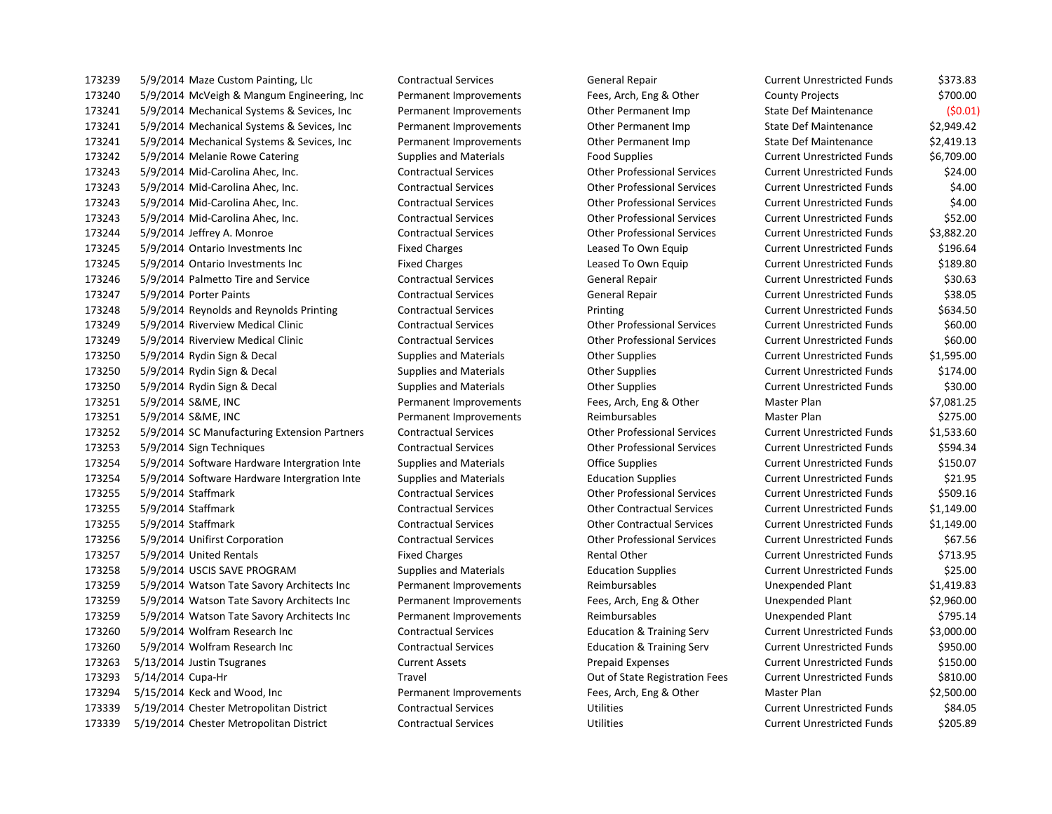5/9/2014 Maze Custom Painting, Llc Contractual Services General Repair Current Unrestricted Funds \$373.83 5/9/2014 McVeigh & Mangum Engineering, Inc Permanent Improvements Fees, Arch, Eng & Other County Projects \$700.00 5/9/2014 Mechanical Systems & Sevices, Inc Permanent Improvements Other Permanent Imp State Def Maintenance (\$0.01) 5/9/2014 Mechanical Systems & Sevices, Inc Permanent Improvements Other Permanent Imp State Def Maintenance \$2,949.42 5/9/2014 Mechanical Systems & Sevices, Inc Permanent Improvements Other Permanent Imp State Def Maintenance \$2,419.13 5/9/2014 Melanie Rowe Catering Supplies and Materials Food Supplies Current Unrestricted Funds \$6,709.00 5/9/2014 Mid-Carolina Ahec, Inc. Contractual Services Other Professional Services Current Unrestricted Funds \$24.00 5/9/2014 Mid-Carolina Ahec, Inc. Contractual Services Other Professional Services Current Unrestricted Funds \$4.00 5/9/2014 Mid-Carolina Ahec, Inc. Contractual Services Other Professional Services Current Unrestricted Funds \$4.00 5/9/2014 Mid-Carolina Ahec, Inc. Contractual Services Other Professional Services Current Unrestricted Funds \$52.00 5/9/2014 Jeffrey A. Monroe Contractual Services Other Professional Services Current Unrestricted Funds \$3,882.20 5/9/2014 Ontario Investments Inc Fixed Charges Leased To Own Equip Current Unrestricted Funds \$196.64 173245 5/9/2014 Ontario Investments Inc Fixed Charges Leased To Own Equip Current Unrestricted Funds \$189.80 5/9/2014 Palmetto Tire and Service Contractual Services General Repair Current Unrestricted Funds \$30.63 5/9/2014 Porter Paints Contractual Services General Repair Current Unrestricted Funds \$38.05 5/9/2014 Reynolds and Reynolds Printing Contractual Services Printing Current Unrestricted Funds \$634.50 5/9/2014 Riverview Medical Clinic Contractual Services Other Professional Services Current Unrestricted Funds \$60.00 5/9/2014 Riverview Medical Clinic Contractual Services Other Professional Services Current Unrestricted Funds \$60.00 5/9/2014 Rydin Sign & Decal Supplies and Materials Other Supplies Current Unrestricted Funds \$1,595.00 5/9/2014 Rydin Sign & Decal Supplies and Materials Other Supplies Current Unrestricted Funds \$174.00 5/9/2014 Rydin Sign & Decal Supplies and Materials Other Supplies Current Unrestricted Funds \$30.00 5/9/2014 S&ME, INC Permanent Improvements Fees, Arch, Eng & Other Master Plan \$7,081.25 5/9/2014 S&ME, INC Permanent Improvements Reimbursables Master Plan \$275.00 5/9/2014 SC Manufacturing Extension Partners Contractual Services Other Professional Services Current Unrestricted Funds \$1,533.60 5/9/2014 Sign Techniques Contractual Services Other Professional Services Current Unrestricted Funds \$594.34 5/9/2014 Software Hardware Intergration Inte Supplies and Materials Office Supplies Current Unrestricted Funds \$150.07 5/9/2014 Software Hardware Intergration Inte Supplies and Materials Education Supplies Current Unrestricted Funds \$21.95 5/9/2014 Staffmark Contractual Services Other Professional Services Current Unrestricted Funds \$509.16 5/9/2014 Staffmark Contractual Services Other Contractual Services Current Unrestricted Funds \$1,149.00 5/9/2014 Staffmark Contractual Services Other Contractual Services Current Unrestricted Funds \$1,149.00 5/9/2014 Unifirst Corporation Contractual Services Other Professional Services Current Unrestricted Funds \$67.56 173257 5/9/2014 United Rentals **Fixed Charges** Fixed Charges Rental Other Current Unrestricted Funds \$713.95 5/9/2014 USCIS SAVE PROGRAM Supplies and Materials Education Supplies Current Unrestricted Funds \$25.00 5/9/2014 Watson Tate Savory Architects Inc Permanent Improvements Reimbursables Unexpended Plant \$1,419.83 5/9/2014 Watson Tate Savory Architects Inc Permanent Improvements Fees, Arch, Eng & Other Unexpended Plant \$2,960.00 5/9/2014 Watson Tate Savory Architects Inc Permanent Improvements Reimbursables Unexpended Plant \$795.14 5/9/2014 Wolfram Research Inc Contractual Services Education & Training Serv Current Unrestricted Funds \$3,000.00 5/9/2014 Wolfram Research Inc Contractual Services Education & Training Serv Current Unrestricted Funds \$950.00 5/13/2014 Justin Tsugranes Current Assets Prepaid Expenses Current Unrestricted Funds \$150.00 5/14/2014 Cupa-Hr Travel Out of State Registration Fees Current Unrestricted Funds \$810.00 5/15/2014 Keck and Wood, Inc Permanent Improvements Fees, Arch, Eng & Other Master Plan \$2,500.00 5/19/2014 Chester Metropolitan District Contractual Services Utilities Current Unrestricted Funds \$84.05 5/19/2014 Chester Metropolitan District Contractual Services Utilities Current Unrestricted Funds \$205.89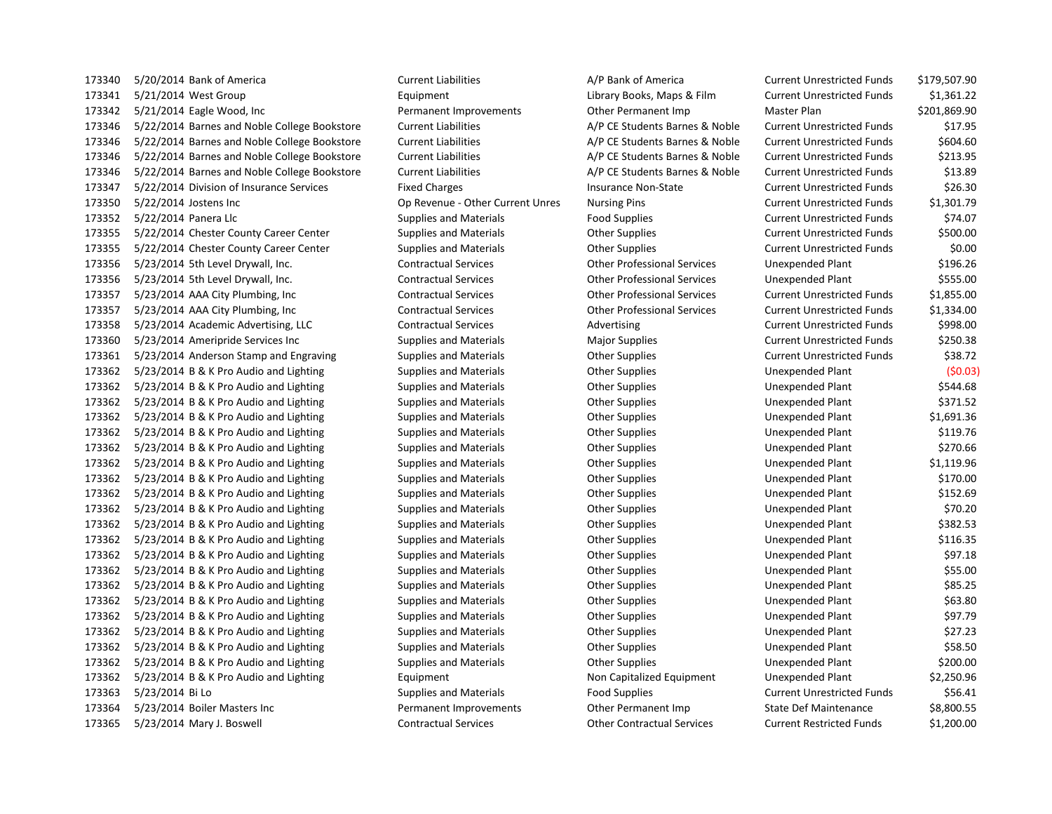173340 5/20/2014 Bank of America Current Liabilities A/P Bank of America Current Unrestricted Funds \$179,507.90 173341 5/21/2014 West Group Equipment Library Books, Maps & Film Current Unrestricted Funds \$1,361.22 173342 5/21/2014 Eagle Wood, Inc Permanent Improvements Other Permanent Imp Master Plan \$201,869.90 173346 5/22/2014 Barnes and Noble College Bookstore Current Liabilities A/P CE Students Barnes & Noble Current Unrestricted Funds \$17.95 173346 5/22/2014 Barnes and Noble College Bookstore Current Liabilities A/P CE Students Barnes & Noble Current Unrestricted Funds \$604.60 173346 5/22/2014 Barnes and Noble College Bookstore Current Liabilities A/P CE Students Barnes & Noble Current Unrestricted Funds \$213.95 173346 5/22/2014 Barnes and Noble College Bookstore Current Liabilities A/P CE Students Barnes & Noble Current Unrestricted Funds \$13.89 173347 5/22/2014 Division of Insurance Services Fixed Charges Insurance Non-State Current Unrestricted Funds \$26.30 173350 5/22/2014 Jostens Inc Op Revenue - Other Current Unres Nursing Pins Current Unrestricted Funds \$1,301.79 173352 5/22/2014 Panera Llc Supplies and Materials Food Supplies Food Supplies Current Unrestricted Funds \$74.07 173355 5/22/2014 Chester County Career Center Supplies and Materials Other Supplies Current Unrestricted Funds \$500.00 173355 5/22/2014 Chester County Career Center Supplies and Materials Other Supplies Current Unrestricted Funds \$0.00 173356 5/23/2014 5th Level Drywall, Inc. Contractual Services Other Professional Services Unexpended Plant \$196.26 173356 5/23/2014 5th Level Drywall, Inc. Contractual Services Other Professional Services Unexpended Plant \$555.00 173357 5/23/2014 AAA City Plumbing, Inc Contractual Services Other Professional Services Current Unrestricted Funds \$1,855.00 173357 5/23/2014 AAA City Plumbing, Inc Contractual Services Other Professional Services Current Unrestricted Funds \$1,334.00 173358 5/23/2014 Academic Advertising, LLC Contractual Services Advertising Current Unrestricted Funds \$998.00 173360 5/23/2014 Ameripride Services Inc Supplies and Materials Major Supplies Current Unrestricted Funds \$250.38 173361 5/23/2014 Anderson Stamp and Engraving Supplies and Materials Current Unrestricted Funds 538.72 173362 5/23/2014 B & K Pro Audio and Lighting Supplies and Materials Other Supplies Unexpended Plant (\$0.03) 173362 5/23/2014 B & K Pro Audio and Lighting Supplies and Materials Cher Supplies Cher Supplies Unexpended Plant \$544.68 173362 5/23/2014 B & K Pro Audio and Lighting Supplies and Materials Cher Supplies Cher Supplies Unexpended Plant \$371.52 173362 5/23/2014 B & K Pro Audio and Lighting Supplies and Materials Other Supplies Unexpended Plant \$1,691.36 173362 5/23/2014 B & K Pro Audio and Lighting Supplies and Materials Cher Supplies Cher Supplies Unexpended Plant \$119.76 173362 5/23/2014 B & K Pro Audio and Lighting Supplies and Materials Cher Supplies Cher Supplies Unexpended Plant \$270.66 173362 5/23/2014 B & K Pro Audio and Lighting Supplies and Materials Other Supplies Unexpended Plant \$1,119.96 173362 5/23/2014 B & K Pro Audio and Lighting Supplies and Materials Computer Supplies Other Supplies Unexpended Plant \$170.00 173362 5/23/2014 B & K Pro Audio and Lighting Supplies and Materials Cher Supplies Cher Supplies Unexpended Plant \$152.69 173362 5/23/2014 B & K Pro Audio and Lighting Supplies and Materials Cher Supplies Cher Supplies Unexpended Plant \$70.20 173362 5/23/2014 B & K Pro Audio and Lighting Supplies and Materials Cher Supplies Cher Supplies Unexpended Plant \$382.53 173362 5/23/2014 B & K Pro Audio and Lighting Supplies and Materials Cher Supplies Cher Supplies Unexpended Plant \$116.35 173362 5/23/2014 B & K Pro Audio and Lighting Supplies and Materials Cher Supplies Cher Supplies Unexpended Plant \$97.18 173362 5/23/2014 B & K Pro Audio and Lighting Supplies and Materials Cher Supplies Cher Supplies Unexpended Plant \$55.00 173362 5/23/2014 B & K Pro Audio and Lighting Supplies and Materials Cher Supplies Cher Supplies Unexpended Plant \$85.25 173362 5/23/2014 B & K Pro Audio and Lighting Supplies and Materials Cher Supplies Cher Supplies Unexpended Plant \$63.80 173362 5/23/2014 B & K Pro Audio and Lighting Supplies and Materials Cher Supplies Cher Supplies Unexpended Plant \$97.79 173362 5/23/2014 B & K Pro Audio and Lighting Supplies and Materials Cher Supplies Other Supplies Unexpended Plant \$27.23 173362 5/23/2014 B & K Pro Audio and Lighting Supplies and Materials Cher Supplies Cher Supplies Unexpended Plant \$58.50 173362 5/23/2014 B & K Pro Audio and Lighting Supplies and Materials Cher Supplies Cher Supplies Unexpended Plant \$200.00 173362 5/23/2014 B & K Pro Audio and Lighting Equipment Non Capitalized Equipment Unexpended Plant \$2,250.96 173363 5/23/2014 Bi Lo Supplies and Materials Food Supplies Food Supplies Current Unrestricted Funds \$56.41 173364 5/23/2014 Boiler Masters Inc Permanent Improvements Other Permanent Imp State Def Maintenance \$8,800.55 173365 5/23/2014 Mary J. Boswell Contractual Services Other Contractual Services Current Restricted Funds \$1,200.00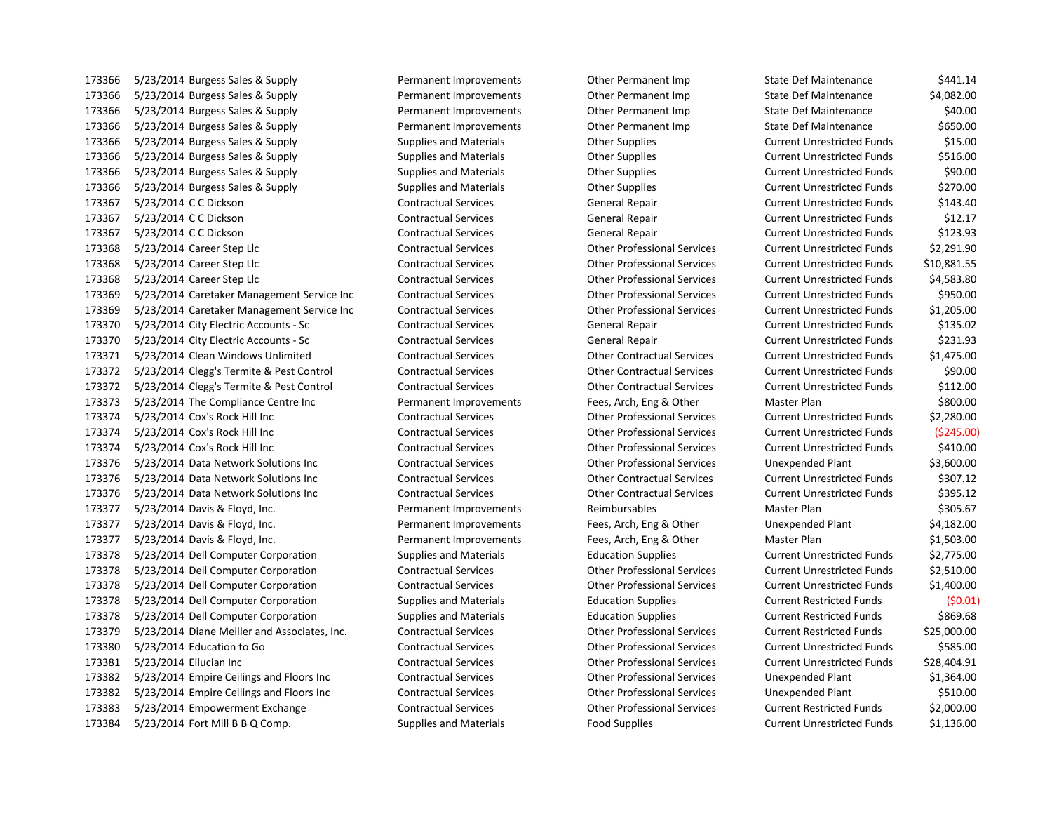173366 5/23/2014 Burgess Sales & Supply Permanent Improvements Other Permanent Imp State Def Maintenance \$441.14 5/23/2014 Burgess Sales & Supply Permanent Improvements Other Permanent Imp State Def Maintenance \$4,082.00 5/23/2014 Burgess Sales & Supply Permanent Improvements Other Permanent Imp State Def Maintenance \$40.00 173366 5/23/2014 Burgess Sales & Supply Permanent Improvements Other Permanent Imp State Def Maintenance \$650.00 5/23/2014 Burgess Sales & Supply Supplies and Materials Other Supplies Current Unrestricted Funds \$15.00 5/23/2014 Burgess Sales & Supply Supplies and Materials Other Supplies Current Unrestricted Funds \$516.00 5/23/2014 Burgess Sales & Supply Supplies and Materials Other Supplies Current Unrestricted Funds \$90.00 5/23/2014 Burgess Sales & Supply Supplies and Materials Other Supplies Current Unrestricted Funds \$270.00 5/23/2014 C C Dickson Contractual Services General Repair Current Unrestricted Funds \$143.40 5/23/2014 C C Dickson Contractual Services General Repair Current Unrestricted Funds \$12.17 5/23/2014 C C Dickson Contractual Services General Repair Current Unrestricted Funds \$123.93 5/23/2014 Career Step Llc Contractual Services Other Professional Services Current Unrestricted Funds \$2,291.90 5/23/2014 Career Step Llc Contractual Services Other Professional Services Current Unrestricted Funds \$10,881.55 5/23/2014 Career Step Llc Contractual Services Other Professional Services Current Unrestricted Funds \$4,583.80 5/23/2014 Caretaker Management Service Inc Contractual Services Other Professional Services Current Unrestricted Funds \$950.00 5/23/2014 Caretaker Management Service Inc Contractual Services Other Professional Services Current Unrestricted Funds \$1,205.00 5/23/2014 City Electric Accounts - Sc Contractual Services General Repair Current Unrestricted Funds \$135.02 5/23/2014 City Electric Accounts - Sc Contractual Services General Repair Current Unrestricted Funds \$231.93 5/23/2014 Clean Windows Unlimited Contractual Services Other Contractual Services Current Unrestricted Funds \$1,475.00 5/23/2014 Clegg's Termite & Pest Control Contractual Services Other Contractual Services Current Unrestricted Funds \$90.00 5/23/2014 Clegg's Termite & Pest Control Contractual Services Other Contractual Services Current Unrestricted Funds \$112.00 5/23/2014 The Compliance Centre Inc Permanent Improvements Fees, Arch, Eng & Other Master Plan \$800.00 5/23/2014 Cox's Rock Hill Inc Contractual Services Other Professional Services Current Unrestricted Funds \$2,280.00 5/23/2014 Cox's Rock Hill Inc Contractual Services Other Professional Services Current Unrestricted Funds (\$245.00) 5/23/2014 Cox's Rock Hill Inc Contractual Services Other Professional Services Current Unrestricted Funds \$410.00 5/23/2014 Data Network Solutions Inc Contractual Services Other Professional Services Unexpended Plant \$3,600.00 5/23/2014 Data Network Solutions Inc Contractual Services Other Contractual Services Current Unrestricted Funds \$307.12 5/23/2014 Data Network Solutions Inc Contractual Services Other Contractual Services Current Unrestricted Funds \$395.12 173377 5/23/2014 Davis & Floyd, Inc. The Communication of Permanent Improvements Reimbursables Master Plan \$305.67 5/23/2014 Davis & Floyd, Inc. Permanent Improvements Fees, Arch, Eng & Other Unexpended Plant \$4,182.00 5/23/2014 Davis & Floyd, Inc. Permanent Improvements Fees, Arch, Eng & Other Master Plan \$1,503.00 5/23/2014 Dell Computer Corporation Supplies and Materials Education Supplies Current Unrestricted Funds \$2,775.00 5/23/2014 Dell Computer Corporation Contractual Services Other Professional Services Current Unrestricted Funds \$2,510.00 5/23/2014 Dell Computer Corporation Contractual Services Other Professional Services Current Unrestricted Funds \$1,400.00 5/23/2014 Dell Computer Corporation Supplies and Materials Education Supplies Current Restricted Funds (\$0.01) 5/23/2014 Dell Computer Corporation Supplies and Materials Education Supplies Current Restricted Funds \$869.68 5/23/2014 Diane Meiller and Associates, Inc. Contractual Services Other Professional Services Current Restricted Funds \$25,000.00 5/23/2014 Education to Go Contractual Services Other Professional Services Current Unrestricted Funds \$585.00 5/23/2014 Ellucian Inc Contractual Services Other Professional Services Current Unrestricted Funds \$28,404.91 5/23/2014 Empire Ceilings and Floors Inc Contractual Services Other Professional Services Unexpended Plant \$1,364.00 5/23/2014 Empire Ceilings and Floors Inc Contractual Services Other Professional Services Unexpended Plant \$510.00 5/23/2014 Empowerment Exchange Contractual Services Other Professional Services Current Restricted Funds \$2,000.00 173384 5/23/2014 Fort Mill B B Q Comp. Supplies and Materials Food Supplies Current Unrestricted Funds \$1,136.00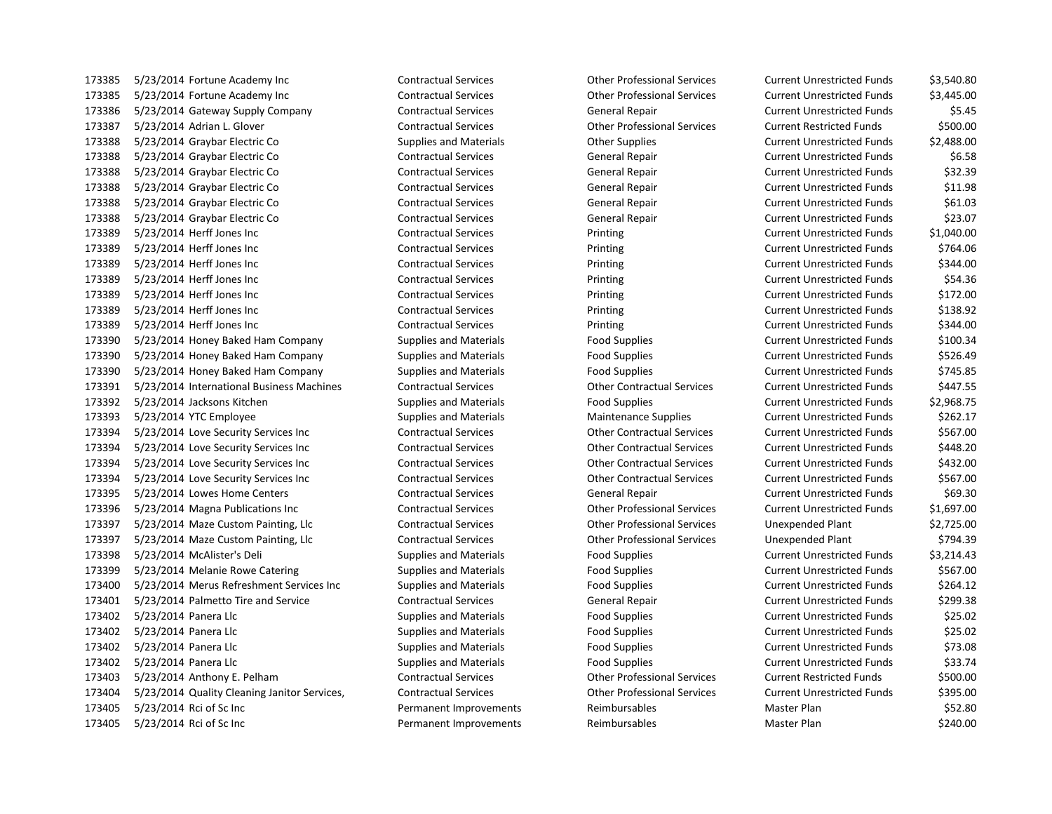5/23/2014 Fortune Academy Inc Contractual Services Other Professional Services Current Unrestricted Funds \$3,540.80 5/23/2014 Fortune Academy Inc Contractual Services Other Professional Services Current Unrestricted Funds \$3,445.00 173386 5/23/2014 Gateway Supply Company Contractual Services General Repair Current Unrestricted Funds \$5.45 5/23/2014 Adrian L. Glover Contractual Services Other Professional Services Current Restricted Funds \$500.00 5/23/2014 Graybar Electric Co Supplies and Materials Other Supplies Current Unrestricted Funds \$2,488.00 5/23/2014 Graybar Electric Co Contractual Services General Repair Current Unrestricted Funds \$6.58 5/23/2014 Graybar Electric Co Contractual Services General Repair Current Unrestricted Funds \$32.39 5/23/2014 Graybar Electric Co Contractual Services General Repair Current Unrestricted Funds \$11.98 173388 5/23/2014 Graybar Electric Co Contractual Services General Repair Current Unrestricted Funds \$61.03 5/23/2014 Graybar Electric Co Contractual Services General Repair Current Unrestricted Funds \$23.07 5/23/2014 Herff Jones Inc Contractual Services Printing Current Unrestricted Funds \$1,040.00 5/23/2014 Herff Jones Inc Contractual Services Printing Current Unrestricted Funds \$764.06 173389 5/23/2014 Herff Jones Inc **Contractual Services** Printing Printing Current Unrestricted Funds 5344.00 5/23/2014 Herff Jones Inc Contractual Services Printing Current Unrestricted Funds \$54.36 5/23/2014 Herff Jones Inc Contractual Services Printing Current Unrestricted Funds \$172.00 5/23/2014 Herff Jones Inc Contractual Services Printing Current Unrestricted Funds \$138.92 5/23/2014 Herff Jones Inc Contractual Services Printing Current Unrestricted Funds \$344.00 173390 5/23/2014 Honey Baked Ham Company Supplies and Materials Food Supplies Current Unrestricted Funds \$100.34 173390 5/23/2014 Honey Baked Ham Company Supplies and Materials Food Supplies Current Unrestricted Funds \$526.49 173390 5/23/2014 Honey Baked Ham Company Supplies and Materials Food Supplies Current Unrestricted Funds \$745.85 5/23/2014 International Business Machines Contractual Services Other Contractual Services Current Unrestricted Funds \$447.55 5/23/2014 Jacksons Kitchen Supplies and Materials Food Supplies Current Unrestricted Funds \$2,968.75 173393 5/23/2014 YTC Employee Supplies and Materials Maintenance Supplies Current Unrestricted Funds \$262.17 5/23/2014 Love Security Services Inc Contractual Services Other Contractual Services Current Unrestricted Funds \$567.00 5/23/2014 Love Security Services Inc Contractual Services Other Contractual Services Current Unrestricted Funds \$448.20 5/23/2014 Love Security Services Inc Contractual Services Other Contractual Services Current Unrestricted Funds \$432.00 5/23/2014 Love Security Services Inc Contractual Services Other Contractual Services Current Unrestricted Funds \$567.00 5/23/2014 Lowes Home Centers Contractual Services General Repair Current Unrestricted Funds \$69.30 5/23/2014 Magna Publications Inc Contractual Services Other Professional Services Current Unrestricted Funds \$1,697.00 5/23/2014 Maze Custom Painting, Llc Contractual Services Other Professional Services Unexpended Plant \$2,725.00 5/23/2014 Maze Custom Painting, Llc Contractual Services Other Professional Services Unexpended Plant \$794.39 5/23/2014 McAlister's Deli Supplies and Materials Food Supplies Current Unrestricted Funds \$3,214.43 173399 5/23/2014 Melanie Rowe Catering Supplies and Materials Food Supplies Food Supplies Current Unrestricted Funds \$567.00 5/23/2014 Merus Refreshment Services Inc Supplies and Materials Food Supplies Current Unrestricted Funds \$264.12 5/23/2014 Palmetto Tire and Service Contractual Services General Repair Current Unrestricted Funds \$299.38 173402 5/23/2014 Panera Llc Supplies and Materials Food Supplies Food Supplies Current Unrestricted Funds \$25.02 5/23/2014 Panera Llc Supplies and Materials Food Supplies Current Unrestricted Funds \$25.02 5/23/2014 Panera Llc Supplies and Materials Food Supplies Current Unrestricted Funds \$73.08 173402 5/23/2014 Panera Llc Supplies and Materials Food Supplies Food Supplies Current Unrestricted Funds \$33.74 5/23/2014 Anthony E. Pelham Contractual Services Other Professional Services Current Restricted Funds \$500.00 5/23/2014 Quality Cleaning Janitor Services, Contractual Services Other Professional Services Current Unrestricted Funds \$395.00 173405 5/23/2014 Rci of Sc Inc Case of Sc Inches Permanent Improvements Reimbursables Master Plan \$52.80 173405 5/23/2014 Rci of Sc Inc Case Communication of Permanent Improvements Reimbursables Master Plan \$240.00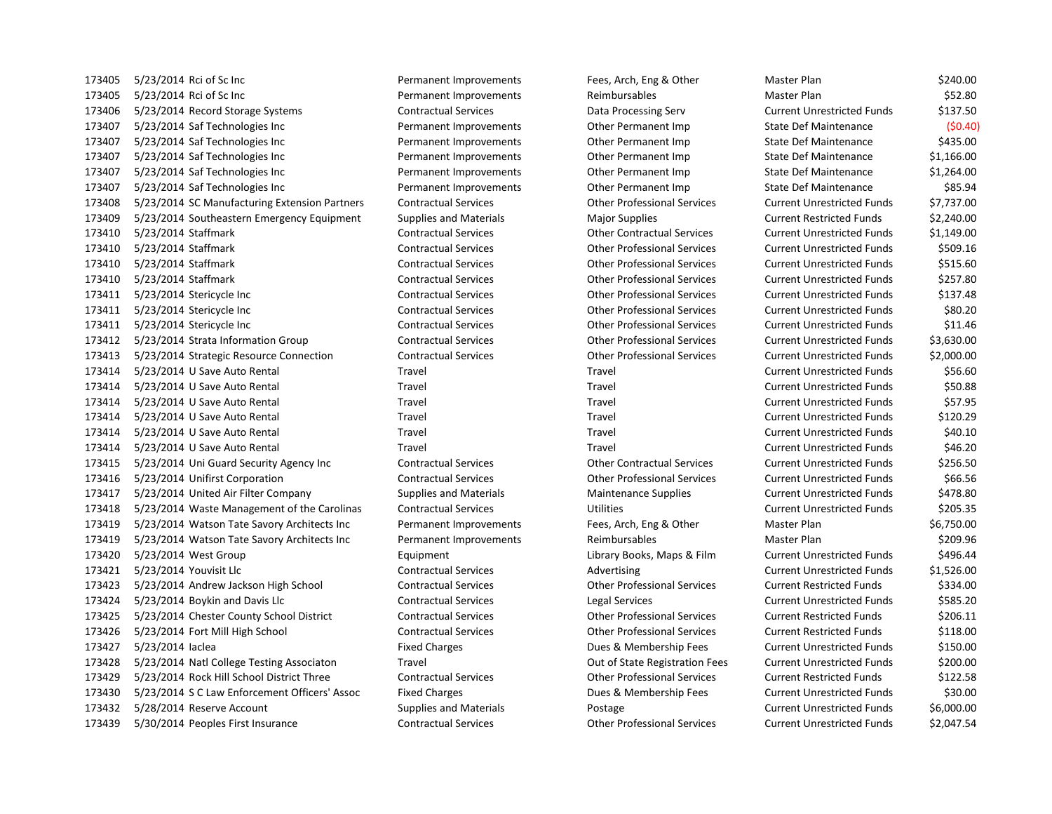173405 5/23/2014 Rci of Sc Inc example and S240.00 Permanent Improvements Fees, Arch, Eng & Other Master Plan \$240.00 173405 5/23/2014 Rci of Sc Inc Case of Sc Inc Permanent Improvements Reimbursables Master Plan \$52.80 5/23/2014 Record Storage Systems Contractual Services Data Processing Serv Current Unrestricted Funds \$137.50 5/23/2014 Saf Technologies Inc Permanent Improvements Other Permanent Imp State Def Maintenance (\$0.40) 173407 5/23/2014 Saf Technologies Inc **Permanent Improvements** Other Permanent Imp State Def Maintenance \$435.00 173407 5/23/2014 Saf Technologies Inc **Permanent Improvements** Other Permanent Imp State Def Maintenance \$1,166.00 5/23/2014 Saf Technologies Inc Permanent Improvements Other Permanent Imp State Def Maintenance \$1,264.00 5/23/2014 Saf Technologies Inc Permanent Improvements Other Permanent Imp State Def Maintenance \$85.94 5/23/2014 SC Manufacturing Extension Partners Contractual Services Other Professional Services Current Unrestricted Funds \$7,737.00 5/23/2014 Southeastern Emergency Equipment Supplies and Materials Major Supplies Current Restricted Funds \$2,240.00 5/23/2014 Staffmark Contractual Services Other Contractual Services Current Unrestricted Funds \$1,149.00 5/23/2014 Staffmark Contractual Services Other Professional Services Current Unrestricted Funds \$509.16 5/23/2014 Staffmark Contractual Services Other Professional Services Current Unrestricted Funds \$515.60 5/23/2014 Staffmark Contractual Services Other Professional Services Current Unrestricted Funds \$257.80 5/23/2014 Stericycle Inc Contractual Services Other Professional Services Current Unrestricted Funds \$137.48 5/23/2014 Stericycle Inc Contractual Services Other Professional Services Current Unrestricted Funds \$80.20 5/23/2014 Stericycle Inc Contractual Services Other Professional Services Current Unrestricted Funds \$11.46 5/23/2014 Strata Information Group Contractual Services Other Professional Services Current Unrestricted Funds \$3,630.00 5/23/2014 Strategic Resource Connection Contractual Services Other Professional Services Current Unrestricted Funds \$2,000.00 5/23/2014 U Save Auto Rental Travel Travel Current Unrestricted Funds \$56.60 5/23/2014 U Save Auto Rental Travel Travel Current Unrestricted Funds \$50.88 5/23/2014 U Save Auto Rental Travel Travel Current Unrestricted Funds \$57.95 5/23/2014 U Save Auto Rental Travel Travel Current Unrestricted Funds \$120.29 5/23/2014 U Save Auto Rental Travel Travel Current Unrestricted Funds \$40.10 5/23/2014 U Save Auto Rental Travel Travel Current Unrestricted Funds \$46.20 5/23/2014 Uni Guard Security Agency Inc Contractual Services Other Contractual Services Current Unrestricted Funds \$256.50 5/23/2014 Unifirst Corporation Contractual Services Other Professional Services Current Unrestricted Funds \$66.56 173417 5/23/2014 United Air Filter Company Supplies and Materials Maintenance Supplies Current Unrestricted Funds \$478.80 173418 5/23/2014 Waste Management of the Carolinas Contractual Services Utilities Utilities Current Unrestricted Funds \$205.35 5/23/2014 Watson Tate Savory Architects Inc Permanent Improvements Fees, Arch, Eng & Other Master Plan \$6,750.00 173419 5/23/2014 Watson Tate Savory Architects Inc Permanent Improvements Reimbursables Master Plan \$209.96 173420 5/23/2014 West Group **Equipment** Equipment Library Books, Maps & Film Current Unrestricted Funds \$496.44 5/23/2014 Youvisit Llc Contractual Services Advertising Current Unrestricted Funds \$1,526.00 5/23/2014 Andrew Jackson High School Contractual Services Other Professional Services Current Restricted Funds \$334.00 5/23/2014 Boykin and Davis Llc Contractual Services Legal Services Current Unrestricted Funds \$585.20 5/23/2014 Chester County School District Contractual Services Other Professional Services Current Restricted Funds \$206.11 5/23/2014 Fort Mill High School Contractual Services Other Professional Services Current Restricted Funds \$118.00 173427 5/23/2014 Iaclea **Fixed Charges** Fixed Charges Dues & Membership Fees Current Unrestricted Funds \$150.00 5/23/2014 Natl College Testing Associaton Travel Out of State Registration Fees Current Unrestricted Funds \$200.00 5/23/2014 Rock Hill School District Three Contractual Services Other Professional Services Current Restricted Funds \$122.58 5/23/2014 S C Law Enforcement Officers' Assoc Fixed Charges Dues & Membership Fees Current Unrestricted Funds \$30.00 5/28/2014 Reserve Account Supplies and Materials Postage Current Unrestricted Funds \$6,000.00 5/30/2014 Peoples First Insurance Contractual Services Other Professional Services Current Unrestricted Funds \$2,047.54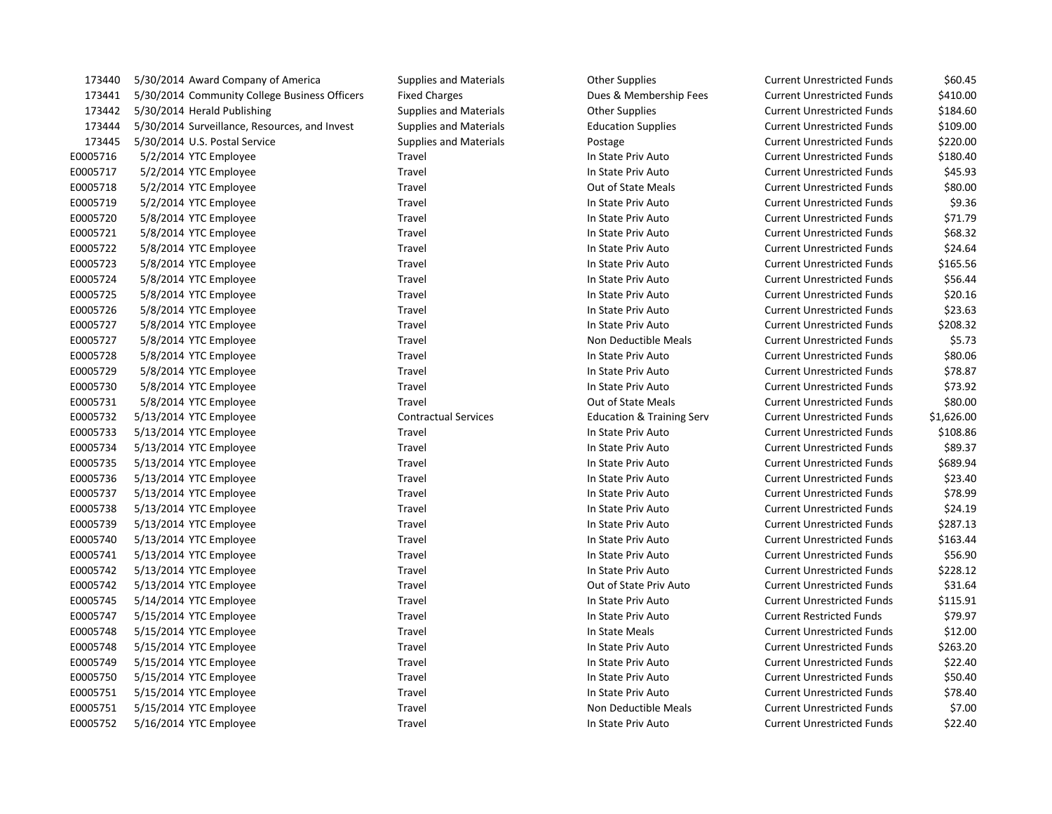| 173440   | 5/30/2014 Award Company of America            | <b>Supplies and Materials</b> | <b>Other Supplies</b>                | <b>Current Unrestricted Funds</b> | \$60.45    |
|----------|-----------------------------------------------|-------------------------------|--------------------------------------|-----------------------------------|------------|
| 173441   | 5/30/2014 Community College Business Officers | <b>Fixed Charges</b>          | Dues & Membership Fees               | <b>Current Unrestricted Funds</b> | \$410.00   |
| 173442   | 5/30/2014 Herald Publishing                   | <b>Supplies and Materials</b> | <b>Other Supplies</b>                | <b>Current Unrestricted Funds</b> | \$184.60   |
| 173444   | 5/30/2014 Surveillance, Resources, and Invest | <b>Supplies and Materials</b> | <b>Education Supplies</b>            | <b>Current Unrestricted Funds</b> | \$109.00   |
| 173445   | 5/30/2014 U.S. Postal Service                 | <b>Supplies and Materials</b> | Postage                              | <b>Current Unrestricted Funds</b> | \$220.00   |
| E0005716 | 5/2/2014 YTC Employee                         | Travel                        | In State Priv Auto                   | <b>Current Unrestricted Funds</b> | \$180.40   |
| E0005717 | 5/2/2014 YTC Employee                         | Travel                        | In State Priv Auto                   | <b>Current Unrestricted Funds</b> | \$45.93    |
| E0005718 | 5/2/2014 YTC Employee                         | Travel                        | Out of State Meals                   | <b>Current Unrestricted Funds</b> | \$80.00    |
| E0005719 | 5/2/2014 YTC Employee                         | Travel                        | In State Priv Auto                   | <b>Current Unrestricted Funds</b> | \$9.36     |
| E0005720 | 5/8/2014 YTC Employee                         | Travel                        | In State Priv Auto                   | <b>Current Unrestricted Funds</b> | \$71.79    |
| E0005721 | 5/8/2014 YTC Employee                         | Travel                        | In State Priv Auto                   | <b>Current Unrestricted Funds</b> | \$68.32    |
| E0005722 | 5/8/2014 YTC Employee                         | Travel                        | In State Priv Auto                   | <b>Current Unrestricted Funds</b> | \$24.64    |
| E0005723 | 5/8/2014 YTC Employee                         | Travel                        | In State Priv Auto                   | <b>Current Unrestricted Funds</b> | \$165.56   |
| E0005724 | 5/8/2014 YTC Employee                         | Travel                        | In State Priv Auto                   | <b>Current Unrestricted Funds</b> | \$56.44    |
| E0005725 | 5/8/2014 YTC Employee                         | Travel                        | In State Priv Auto                   | <b>Current Unrestricted Funds</b> | \$20.16    |
| E0005726 | 5/8/2014 YTC Employee                         | Travel                        | In State Priv Auto                   | <b>Current Unrestricted Funds</b> | \$23.63    |
| E0005727 | 5/8/2014 YTC Employee                         | Travel                        | In State Priv Auto                   | <b>Current Unrestricted Funds</b> | \$208.32   |
| E0005727 | 5/8/2014 YTC Employee                         | Travel                        | Non Deductible Meals                 | <b>Current Unrestricted Funds</b> | \$5.73     |
| E0005728 | 5/8/2014 YTC Employee                         | Travel                        | In State Priv Auto                   | <b>Current Unrestricted Funds</b> | \$80.06    |
| E0005729 | 5/8/2014 YTC Employee                         | Travel                        | In State Priv Auto                   | <b>Current Unrestricted Funds</b> | \$78.87    |
| E0005730 | 5/8/2014 YTC Employee                         | Travel                        | In State Priv Auto                   | <b>Current Unrestricted Funds</b> | \$73.92    |
| E0005731 | 5/8/2014 YTC Employee                         | Travel                        | Out of State Meals                   | <b>Current Unrestricted Funds</b> | \$80.00    |
| E0005732 | 5/13/2014 YTC Employee                        | <b>Contractual Services</b>   | <b>Education &amp; Training Serv</b> | <b>Current Unrestricted Funds</b> | \$1,626.00 |
| E0005733 | 5/13/2014 YTC Employee                        | Travel                        | In State Priv Auto                   | <b>Current Unrestricted Funds</b> | \$108.86   |
| E0005734 | 5/13/2014 YTC Employee                        | Travel                        | In State Priv Auto                   | <b>Current Unrestricted Funds</b> | \$89.37    |
| E0005735 | 5/13/2014 YTC Employee                        | Travel                        | In State Priv Auto                   | <b>Current Unrestricted Funds</b> | \$689.94   |
| E0005736 | 5/13/2014 YTC Employee                        | Travel                        | In State Priv Auto                   | <b>Current Unrestricted Funds</b> | \$23.40    |
| E0005737 | 5/13/2014 YTC Employee                        | Travel                        | In State Priv Auto                   | <b>Current Unrestricted Funds</b> | \$78.99    |
| E0005738 | 5/13/2014 YTC Employee                        | Travel                        | In State Priv Auto                   | <b>Current Unrestricted Funds</b> | \$24.19    |
| E0005739 | 5/13/2014 YTC Employee                        | Travel                        | In State Priv Auto                   | <b>Current Unrestricted Funds</b> | \$287.13   |
| E0005740 | 5/13/2014 YTC Employee                        | Travel                        | In State Priv Auto                   | <b>Current Unrestricted Funds</b> | \$163.44   |
| E0005741 | 5/13/2014 YTC Employee                        | Travel                        | In State Priv Auto                   | <b>Current Unrestricted Funds</b> | \$56.90    |
| E0005742 | 5/13/2014 YTC Employee                        | Travel                        | In State Priv Auto                   | <b>Current Unrestricted Funds</b> | \$228.12   |
| E0005742 | 5/13/2014 YTC Employee                        | Travel                        | Out of State Priv Auto               | <b>Current Unrestricted Funds</b> | \$31.64    |
| E0005745 | 5/14/2014 YTC Employee                        | Travel                        | In State Priv Auto                   | <b>Current Unrestricted Funds</b> | \$115.91   |
| E0005747 | 5/15/2014 YTC Employee                        | Travel                        | In State Priv Auto                   | <b>Current Restricted Funds</b>   | \$79.97    |
| E0005748 | 5/15/2014 YTC Employee                        | Travel                        | In State Meals                       | <b>Current Unrestricted Funds</b> | \$12.00    |
| E0005748 | 5/15/2014 YTC Employee                        | Travel                        | In State Priv Auto                   | <b>Current Unrestricted Funds</b> | \$263.20   |
| E0005749 | 5/15/2014 YTC Employee                        | Travel                        | In State Priv Auto                   | <b>Current Unrestricted Funds</b> | \$22.40    |
| E0005750 | 5/15/2014 YTC Employee                        | Travel                        | In State Priv Auto                   | <b>Current Unrestricted Funds</b> | \$50.40    |
| E0005751 | 5/15/2014 YTC Employee                        | Travel                        | In State Priv Auto                   | <b>Current Unrestricted Funds</b> | \$78.40    |
| E0005751 | 5/15/2014 YTC Employee                        | Travel                        | Non Deductible Meals                 | <b>Current Unrestricted Funds</b> | \$7.00     |
| E0005752 | 5/16/2014 YTC Employee                        | Travel                        | In State Priv Auto                   | <b>Current Unrestricted Funds</b> | \$22.40    |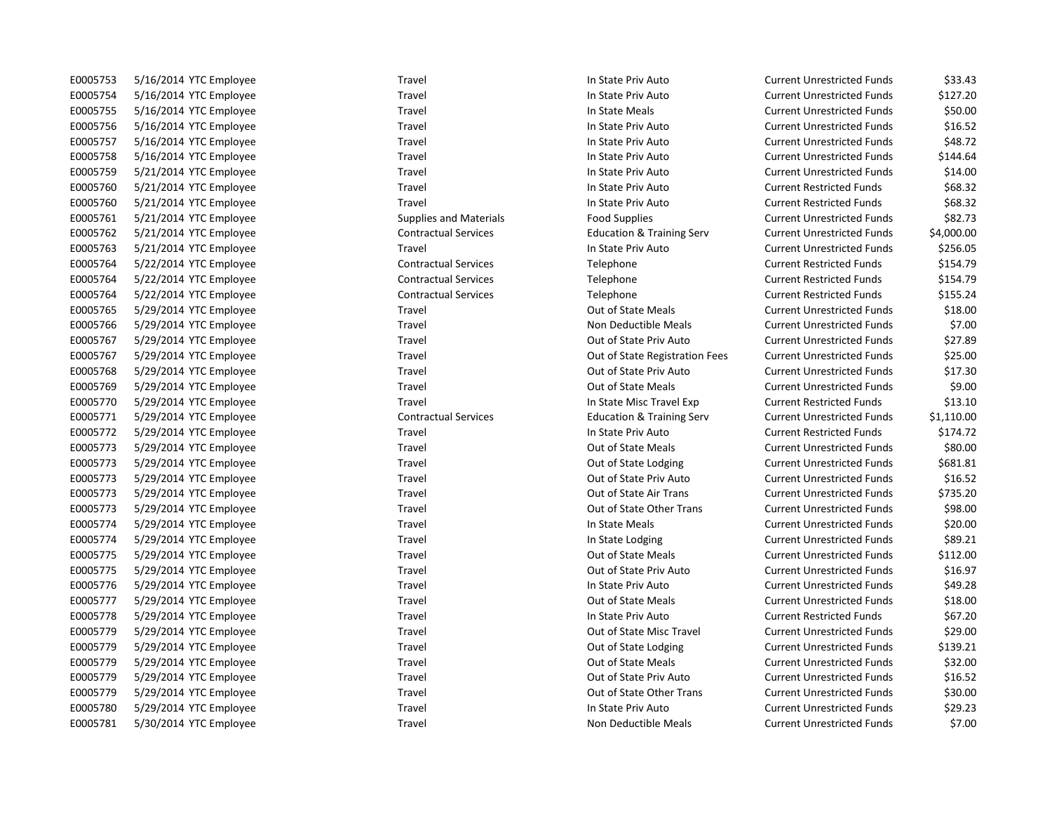| E0005753        | 5/16/2014 YTC Employee |
|-----------------|------------------------|
| E0005754        | 5/16/2014 YTC Employee |
| E0005755        | 5/16/2014 YTC Employee |
| E0005756        | 5/16/2014 YTC Employee |
| E0005757        | 5/16/2014 YTC Employee |
| E0005758        | 5/16/2014 YTC Employee |
| E0005759        | 5/21/2014 YTC Employee |
| E0005760        | 5/21/2014 YTC Employee |
| E0005760        | 5/21/2014 YTC Employee |
| E0005761        | 5/21/2014 YTC Employee |
| E0005762        | 5/21/2014 YTC Employee |
| E0005763        | 5/21/2014 YTC Employee |
| E0005764        | 5/22/2014 YTC Employee |
| E0005764        | 5/22/2014 YTC Employee |
| E0005764        | 5/22/2014 YTC Employee |
| E0005765        | 5/29/2014 YTC Employee |
| E0005766        | 5/29/2014 YTC Employee |
| E0005767        | 5/29/2014 YTC Employee |
| E0005767        | 5/29/2014 YTC Employee |
| E0005768        | 5/29/2014 YTC Employee |
| E0005769        | 5/29/2014 YTC Employee |
| E0005770        | 5/29/2014 YTC Employee |
| E0005771        | 5/29/2014 YTC Employee |
| E0005772        | 5/29/2014 YTC Employee |
| E0005773        | 5/29/2014 YTC Employee |
| E0005773        | 5/29/2014 YTC Employee |
| E0005773        | 5/29/2014 YTC Employee |
| E0005773        | 5/29/2014 YTC Employee |
| E0005773        | 5/29/2014 YTC Employee |
| E0005774        | 5/29/2014 YTC Employee |
| E0005774        | 5/29/2014 YTC Employee |
| E0005775        | 5/29/2014 YTC Employee |
| E0005775        | 5/29/2014 YTC Employee |
| E0005776        | 5/29/2014 YTC Employee |
| E0005777        | 5/29/2014 YTC Employee |
| E0005778        | 5/29/2014 YTC Employee |
| E0005779        | 5/29/2014 YTC Employee |
| E0005779        | 5/29/2014 YTC Employee |
| E0005779        | 5/29/2014 YTC Employee |
| E0005779        | 5/29/2014 YTC Employee |
| E0005779        | 5/29/2014 YTC Employee |
| E0005780        | 5/29/2014 YTC Employee |
| <b>F0005781</b> | 5/30/2014 YTC Employee |

Travel **EXECUTE:** Travel Travel In State Priv Auto Current Unrestricted Funds \$33.43 Entert End of the State Priv Auto Current Unrestricted Funds \$127.20 E0005755 5/16/2014 YTC Employee Travel In State Meals Current Unrestricted Funds \$50.00 Travel **EXECUTE:** Travel In State Priv Auto **Current Unrestricted Funds** \$16.52 E0005757 5/16/2014 YTC Employee Travel In State Priv Auto Current Unrestricted Funds \$48.72 Travel **EXECUTE:** In State Priv Auto **Current Unrestricted Funds** \$144.64 E0005759 Travel Travel Travel In State Priv Auto Current Unrestricted Funds \$14.00 Endel Travel Sensitive Travel In State Priv Auto Current Restricted Funds \$68.32 Endel Travel Sensitive Travel In State Priv Auto Current Restricted Funds \$68.32 Supplies and Materials 682.73 Contractual Services **Education & Training Serv** Current Unrestricted Funds \$4,000.00 Travel **EXECUTE:** Travel Travel In State Priv Auto Current Unrestricted Funds \$256.05 Contractual Services Telephone Telephone Current Restricted Funds \$154.79 E0005764 5/22/2014 YTC Employee Contractual Services Telephone Current Restricted Funds \$154.79 E0005764 5/22/2014 YTC Employee Contractual Services Telephone Current Restricted Funds \$155.24 E00057676161 Travel Cut of State Meals Current Unrestricted Funds \$18.00 E0005766 Travel Travel Strawbors Current Unrestricted Funds Current Unrestricted Funds CDM Strawbors Control Non Deductible Meals Travel **EXECUTE:** Travel Current Unrestricted Funds 527.89 Travel **EXECO FOOT STATE SEXTEE TRAVEL TRAVEL SEE TRAVEL SEE CURRENT SEE SEE CURRENT SEE SEE SEE SEE SEE SEE S** Travel **EXECUTE:** Cut of State Priv Auto Current Unrestricted Funds \$17.30 Travel **EXECUTE:** Cut of State Meals Current Unrestricted Funds \$9.00 Travel Travel Travel In State Misc Travel Exp Current Restricted Funds \$13.10 Contractual Services **Frank Services** Education & Training Serv Current Unrestricted Funds \$1,110.00 Travel **EXECUTE:** In State Priv Auto **Current Restricted Funds** \$174.72 Travel **EXECUTE:** Travel Cut of State Meals Current Unrestricted Funds \$80.00 Travel **EXECUTE:** Travel Cut of State Lodging Current Unrestricted Funds \$681.81 Travel **EXECUTE:** Travel Current Unrestricted Funds \$16.52 Travel **EXECUTE:** Cut of State Air Trans Current Unrestricted Funds \$735.20 Travel **EXECUTE:** Travel Cut of State Other Trans Current Unrestricted Funds \$98.00 Example 10 Travel Travel Travel In State Meals Current Unrestricted Funds \$20.00 Travel **EXECUTE:** Travel Travel State Lodging Current Unrestricted Funds \$89.21 Travel **EXECUTE:** Travel Current Unrestricted Funds \$112.00 Travel **EXECUTE:** Contract Current Unrestricted Funds 516.97 E0005776 5/29/2014 YTC Employee Travel In State Priv Auto Current Unrestricted Funds \$49.28 Travel **EXECUTE:** Travel Current Unrestricted Funds 518.00 E0005778 5/29/2014 YTC Employee Travel In State Priv Auto Current Restricted Funds \$67.20 E0005779 5/29/2014 YTC Employee Travel Out of State Misc Travel Current Unrestricted Funds \$29.00 Travel **EXECUTE:** Cut of State Lodging Current Unrestricted Funds \$139.21 Example 1 2007 579 500000 1 Travel Out of State Meals Current Unrestricted Funds 532.00 Travel **EXECUTE:** Travel Cut of State Priv Auto Current Unrestricted Funds \$16.52 Travel **EXECUTE:** Travel Cut of State Other Trans Current Unrestricted Funds \$30.00 Endel Travel Travel Travel In State Priv Auto Current Unrestricted Funds \$29.23 E0005781 5/30/2014 YTC Employee Travel Travel Travel Non Deductible Meals Current Unrestricted Funds \$7.00